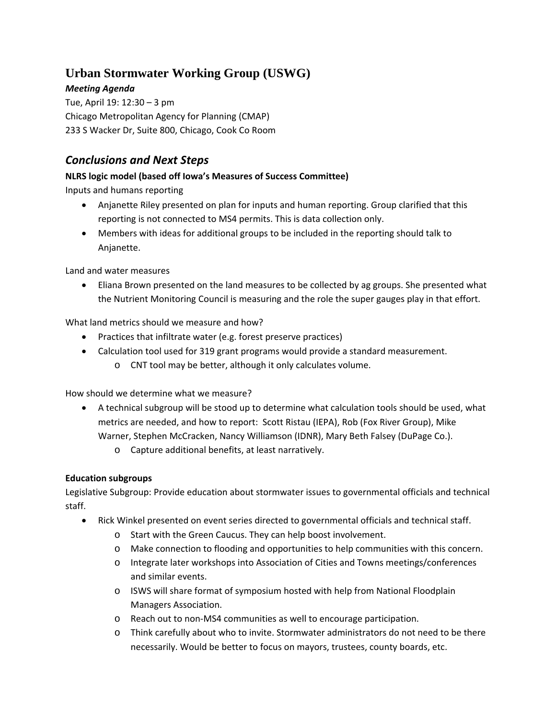# **Urban Stormwater Working Group (USWG)**

*Meeting Agenda* Tue, April 19: 12:30 – 3 pm Chicago Metropolitan Agency for Planning (CMAP) 233 S Wacker Dr, Suite 800, Chicago, Cook Co Room

## *Conclusions and Next Steps*

## **NLRS logic model (based off Iowa's Measures of Success Committee)**

Inputs and humans reporting

- Anjanette Riley presented on plan for inputs and human reporting. Group clarified that this reporting is not connected to MS4 permits. This is data collection only.
- Members with ideas for additional groups to be included in the reporting should talk to Anjanette.

Land and water measures

• Eliana Brown presented on the land measures to be collected by ag groups. She presented what the Nutrient Monitoring Council is measuring and the role the super gauges play in that effort.

What land metrics should we measure and how?

- Practices that infiltrate water (e.g. forest preserve practices)
- Calculation tool used for 319 grant programs would provide a standard measurement.
	- o CNT tool may be better, although it only calculates volume.

How should we determine what we measure?

- A technical subgroup will be stood up to determine what calculation tools should be used, what metrics are needed, and how to report: Scott Ristau (IEPA), Rob (Fox River Group), Mike Warner, Stephen McCracken, Nancy Williamson (IDNR), Mary Beth Falsey (DuPage Co.).
	- o Capture additional benefits, at least narratively.

### **Education subgroups**

Legislative Subgroup: Provide education about stormwater issues to governmental officials and technical staff.

- Rick Winkel presented on event series directed to governmental officials and technical staff.
	- o Start with the Green Caucus. They can help boost involvement.
	- o Make connection to flooding and opportunities to help communities with this concern.
	- o Integrate later workshops into Association of Cities and Towns meetings/conferences and similar events.
	- o ISWS will share format of symposium hosted with help from National Floodplain Managers Association.
	- o Reach out to non‐MS4 communities as well to encourage participation.
	- o Think carefully about who to invite. Stormwater administrators do not need to be there necessarily. Would be better to focus on mayors, trustees, county boards, etc.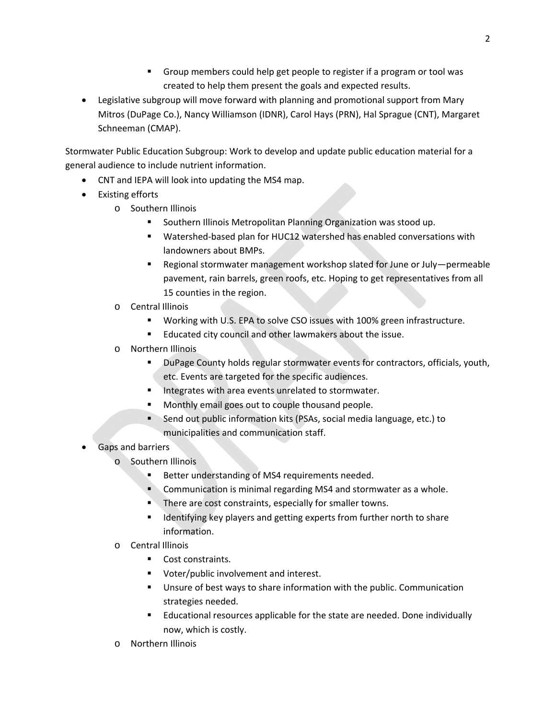- Group members could help get people to register if a program or tool was created to help them present the goals and expected results.
- Legislative subgroup will move forward with planning and promotional support from Mary Mitros (DuPage Co.), Nancy Williamson (IDNR), Carol Hays (PRN), Hal Sprague (CNT), Margaret Schneeman (CMAP).

Stormwater Public Education Subgroup: Work to develop and update public education material for a general audience to include nutrient information.

- CNT and IEPA will look into updating the MS4 map.
- Existing efforts
	- o Southern Illinois
		- **Southern Illinois Metropolitan Planning Organization was stood up.**
		- Watershed-based plan for HUC12 watershed has enabled conversations with landowners about BMPs.
		- Regional stormwater management workshop slated for June or July—permeable pavement, rain barrels, green roofs, etc. Hoping to get representatives from all 15 counties in the region.
	- o Central Illinois
		- Working with U.S. EPA to solve CSO issues with 100% green infrastructure.
		- **Educated city council and other lawmakers about the issue.**
	- o Northern Illinois
		- DuPage County holds regular stormwater events for contractors, officials, youth, etc. Events are targeted for the specific audiences.
		- Integrates with area events unrelated to stormwater.
		- Monthly email goes out to couple thousand people.
		- Send out public information kits (PSAs, social media language, etc.) to municipalities and communication staff.
- Gaps and barriers
	- o Southern Illinois
		- Better understanding of MS4 requirements needed.
		- **Communication is minimal regarding MS4 and stormwater as a whole.**
		- There are cost constraints, especially for smaller towns.
		- Identifying key players and getting experts from further north to share information.
	- o Central Illinois
		- Cost constraints.
		- **•** Voter/public involvement and interest.
		- Unsure of best ways to share information with the public. Communication strategies needed.
		- Educational resources applicable for the state are needed. Done individually now, which is costly.
	- o Northern Illinois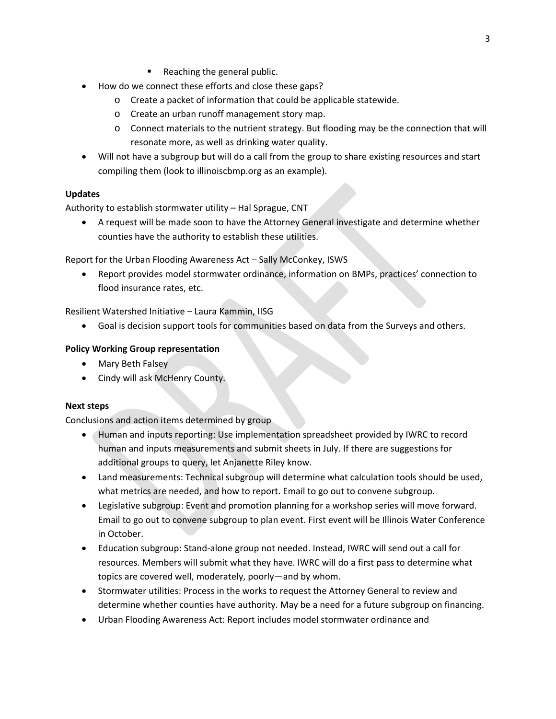- Reaching the general public.
- How do we connect these efforts and close these gaps?
	- o Create a packet of information that could be applicable statewide.
	- o Create an urban runoff management story map.
	- o Connect materials to the nutrient strategy. But flooding may be the connection that will resonate more, as well as drinking water quality.
- Will not have a subgroup but will do a call from the group to share existing resources and start compiling them (look to illinoiscbmp.org as an example).

#### **Updates**

Authority to establish stormwater utility – Hal Sprague, CNT

 A request will be made soon to have the Attorney General investigate and determine whether counties have the authority to establish these utilities.

Report for the Urban Flooding Awareness Act – Sally McConkey, ISWS

 Report provides model stormwater ordinance, information on BMPs, practices' connection to flood insurance rates, etc.

Resilient Watershed Initiative – Laura Kammin, IISG

Goal is decision support tools for communities based on data from the Surveys and others.

#### **Policy Working Group representation**

- Mary Beth Falsey
- Cindy will ask McHenry County.

#### **Next steps**

Conclusions and action items determined by group

- Human and inputs reporting: Use implementation spreadsheet provided by IWRC to record human and inputs measurements and submit sheets in July. If there are suggestions for additional groups to query, let Anjanette Riley know.
- Land measurements: Technical subgroup will determine what calculation tools should be used, what metrics are needed, and how to report. Email to go out to convene subgroup.
- Legislative subgroup: Event and promotion planning for a workshop series will move forward. Email to go out to convene subgroup to plan event. First event will be Illinois Water Conference in October.
- Education subgroup: Stand-alone group not needed. Instead, IWRC will send out a call for resources. Members will submit what they have. IWRC will do a first pass to determine what topics are covered well, moderately, poorly—and by whom.
- Stormwater utilities: Process in the works to request the Attorney General to review and determine whether counties have authority. May be a need for a future subgroup on financing.
- Urban Flooding Awareness Act: Report includes model stormwater ordinance and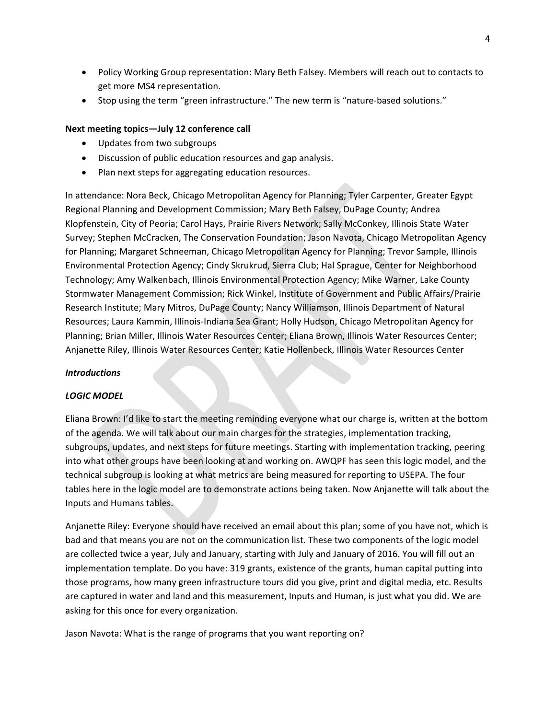- Policy Working Group representation: Mary Beth Falsey. Members will reach out to contacts to get more MS4 representation.
- Stop using the term "green infrastructure." The new term is "nature-based solutions."

#### **Next meeting topics—July 12 conference call**

- Updates from two subgroups
- Discussion of public education resources and gap analysis.
- Plan next steps for aggregating education resources.

In attendance: Nora Beck, Chicago Metropolitan Agency for Planning; Tyler Carpenter, Greater Egypt Regional Planning and Development Commission; Mary Beth Falsey, DuPage County; Andrea Klopfenstein, City of Peoria; Carol Hays, Prairie Rivers Network; Sally McConkey, Illinois State Water Survey; Stephen McCracken, The Conservation Foundation; Jason Navota, Chicago Metropolitan Agency for Planning; Margaret Schneeman, Chicago Metropolitan Agency for Planning; Trevor Sample, Illinois Environmental Protection Agency; Cindy Skrukrud, Sierra Club; Hal Sprague, Center for Neighborhood Technology; Amy Walkenbach, Illinois Environmental Protection Agency; Mike Warner, Lake County Stormwater Management Commission; Rick Winkel, Institute of Government and Public Affairs/Prairie Research Institute; Mary Mitros, DuPage County; Nancy Williamson, Illinois Department of Natural Resources; Laura Kammin, Illinois‐Indiana Sea Grant; Holly Hudson, Chicago Metropolitan Agency for Planning; Brian Miller, Illinois Water Resources Center; Eliana Brown, Illinois Water Resources Center; Anjanette Riley, Illinois Water Resources Center; Katie Hollenbeck, Illinois Water Resources Center

#### *Introductions*

#### *LOGIC MODEL*

Eliana Brown: I'd like to start the meeting reminding everyone what our charge is, written at the bottom of the agenda. We will talk about our main charges for the strategies, implementation tracking, subgroups, updates, and next steps for future meetings. Starting with implementation tracking, peering into what other groups have been looking at and working on. AWQPF has seen this logic model, and the technical subgroup is looking at what metrics are being measured for reporting to USEPA. The four tables here in the logic model are to demonstrate actions being taken. Now Anjanette will talk about the Inputs and Humans tables.

Anjanette Riley: Everyone should have received an email about this plan; some of you have not, which is bad and that means you are not on the communication list. These two components of the logic model are collected twice a year, July and January, starting with July and January of 2016. You will fill out an implementation template. Do you have: 319 grants, existence of the grants, human capital putting into those programs, how many green infrastructure tours did you give, print and digital media, etc. Results are captured in water and land and this measurement, Inputs and Human, is just what you did. We are asking for this once for every organization.

Jason Navota: What is the range of programs that you want reporting on?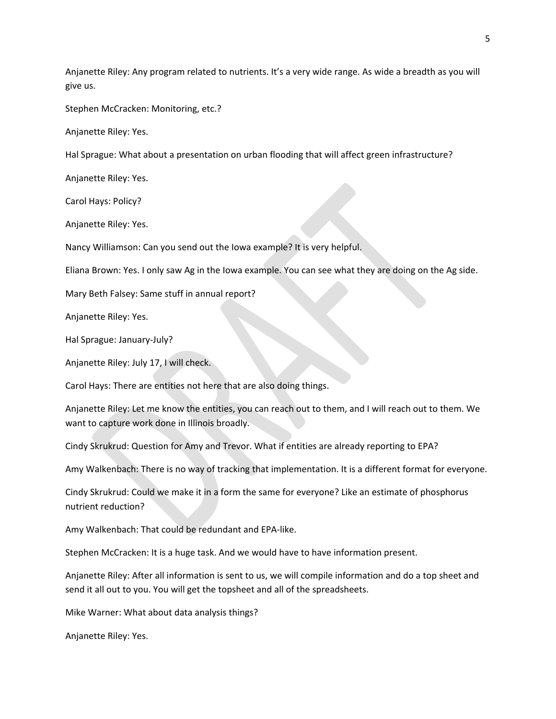Anjanette Riley: Any program related to nutrients. It's a very wide range. As wide a breadth as you will give us.

Stephen McCracken: Monitoring, etc.?

Anjanette Riley: Yes.

Hal Sprague: What about a presentation on urban flooding that will affect green infrastructure?

Anjanette Riley: Yes.

Carol Hays: Policy?

Anjanette Riley: Yes.

Nancy Williamson: Can you send out the Iowa example? It is very helpful.

Eliana Brown: Yes. I only saw Ag in the Iowa example. You can see what they are doing on the Ag side.

Mary Beth Falsey: Same stuff in annual report?

Anjanette Riley: Yes.

Hal Sprague: January‐July?

Anjanette Riley: July 17, I will check.

Carol Hays: There are entities not here that are also doing things.

Anjanette Riley: Let me know the entities, you can reach out to them, and I will reach out to them. We want to capture work done in Illinois broadly.

Cindy Skrukrud: Question for Amy and Trevor. What if entities are already reporting to EPA?

Amy Walkenbach: There is no way of tracking that implementation. It is a different format for everyone.

Cindy Skrukrud: Could we make it in a form the same for everyone? Like an estimate of phosphorus nutrient reduction?

Amy Walkenbach: That could be redundant and EPA‐like.

Stephen McCracken: It is a huge task. And we would have to have information present.

Anjanette Riley: After all information is sent to us, we will compile information and do a top sheet and send it all out to you. You will get the topsheet and all of the spreadsheets.

Mike Warner: What about data analysis things?

Anjanette Riley: Yes.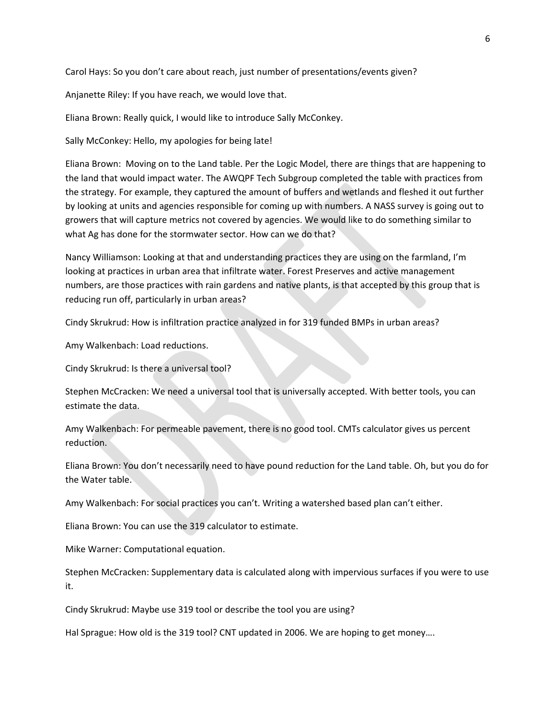Carol Hays: So you don't care about reach, just number of presentations/events given?

Anjanette Riley: If you have reach, we would love that.

Eliana Brown: Really quick, I would like to introduce Sally McConkey.

Sally McConkey: Hello, my apologies for being late!

Eliana Brown: Moving on to the Land table. Per the Logic Model, there are things that are happening to the land that would impact water. The AWQPF Tech Subgroup completed the table with practices from the strategy. For example, they captured the amount of buffers and wetlands and fleshed it out further by looking at units and agencies responsible for coming up with numbers. A NASS survey is going out to growers that will capture metrics not covered by agencies. We would like to do something similar to what Ag has done for the stormwater sector. How can we do that?

Nancy Williamson: Looking at that and understanding practices they are using on the farmland, I'm looking at practices in urban area that infiltrate water. Forest Preserves and active management numbers, are those practices with rain gardens and native plants, is that accepted by this group that is reducing run off, particularly in urban areas?

Cindy Skrukrud: How is infiltration practice analyzed in for 319 funded BMPs in urban areas?

Amy Walkenbach: Load reductions.

Cindy Skrukrud: Is there a universal tool?

Stephen McCracken: We need a universal tool that is universally accepted. With better tools, you can estimate the data.

Amy Walkenbach: For permeable pavement, there is no good tool. CMTs calculator gives us percent reduction.

Eliana Brown: You don't necessarily need to have pound reduction for the Land table. Oh, but you do for the Water table.

Amy Walkenbach: For social practices you can't. Writing a watershed based plan can't either.

Eliana Brown: You can use the 319 calculator to estimate.

Mike Warner: Computational equation.

Stephen McCracken: Supplementary data is calculated along with impervious surfaces if you were to use it.

Cindy Skrukrud: Maybe use 319 tool or describe the tool you are using?

Hal Sprague: How old is the 319 tool? CNT updated in 2006. We are hoping to get money….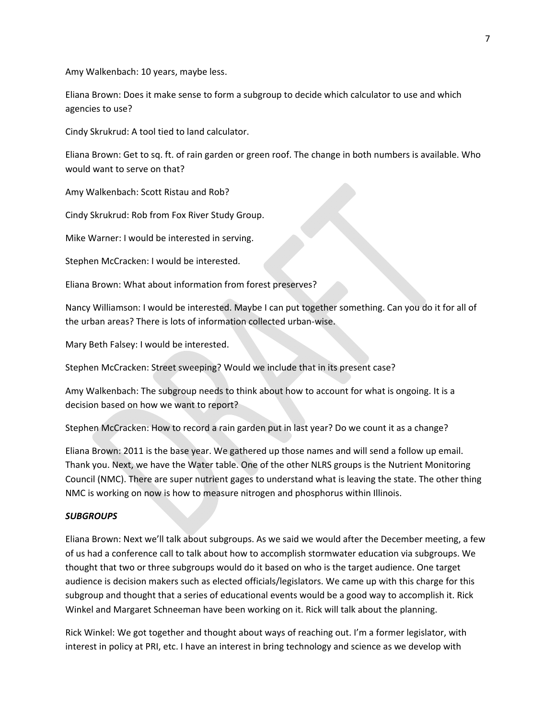Amy Walkenbach: 10 years, maybe less.

Eliana Brown: Does it make sense to form a subgroup to decide which calculator to use and which agencies to use?

Cindy Skrukrud: A tool tied to land calculator.

Eliana Brown: Get to sq. ft. of rain garden or green roof. The change in both numbers is available. Who would want to serve on that?

Amy Walkenbach: Scott Ristau and Rob?

Cindy Skrukrud: Rob from Fox River Study Group.

Mike Warner: I would be interested in serving.

Stephen McCracken: I would be interested.

Eliana Brown: What about information from forest preserves?

Nancy Williamson: I would be interested. Maybe I can put together something. Can you do it for all of the urban areas? There is lots of information collected urban‐wise.

Mary Beth Falsey: I would be interested.

Stephen McCracken: Street sweeping? Would we include that in its present case?

Amy Walkenbach: The subgroup needs to think about how to account for what is ongoing. It is a decision based on how we want to report?

Stephen McCracken: How to record a rain garden put in last year? Do we count it as a change?

Eliana Brown: 2011 is the base year. We gathered up those names and will send a follow up email. Thank you. Next, we have the Water table. One of the other NLRS groups is the Nutrient Monitoring Council (NMC). There are super nutrient gages to understand what is leaving the state. The other thing NMC is working on now is how to measure nitrogen and phosphorus within Illinois.

#### *SUBGROUPS*

Eliana Brown: Next we'll talk about subgroups. As we said we would after the December meeting, a few of us had a conference call to talk about how to accomplish stormwater education via subgroups. We thought that two or three subgroups would do it based on who is the target audience. One target audience is decision makers such as elected officials/legislators. We came up with this charge for this subgroup and thought that a series of educational events would be a good way to accomplish it. Rick Winkel and Margaret Schneeman have been working on it. Rick will talk about the planning.

Rick Winkel: We got together and thought about ways of reaching out. I'm a former legislator, with interest in policy at PRI, etc. I have an interest in bring technology and science as we develop with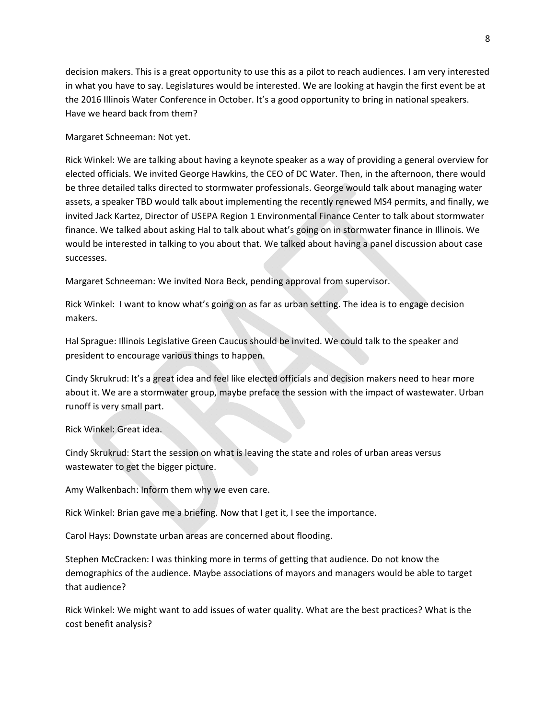decision makers. This is a great opportunity to use this as a pilot to reach audiences. I am very interested in what you have to say. Legislatures would be interested. We are looking at havgin the first event be at the 2016 Illinois Water Conference in October. It's a good opportunity to bring in national speakers. Have we heard back from them?

Margaret Schneeman: Not yet.

Rick Winkel: We are talking about having a keynote speaker as a way of providing a general overview for elected officials. We invited George Hawkins, the CEO of DC Water. Then, in the afternoon, there would be three detailed talks directed to stormwater professionals. George would talk about managing water assets, a speaker TBD would talk about implementing the recently renewed MS4 permits, and finally, we invited Jack Kartez, Director of USEPA Region 1 Environmental Finance Center to talk about stormwater finance. We talked about asking Hal to talk about what's going on in stormwater finance in Illinois. We would be interested in talking to you about that. We talked about having a panel discussion about case successes.

Margaret Schneeman: We invited Nora Beck, pending approval from supervisor.

Rick Winkel: I want to know what's going on as far as urban setting. The idea is to engage decision makers.

Hal Sprague: Illinois Legislative Green Caucus should be invited. We could talk to the speaker and president to encourage various things to happen.

Cindy Skrukrud: It's a great idea and feel like elected officials and decision makers need to hear more about it. We are a stormwater group, maybe preface the session with the impact of wastewater. Urban runoff is very small part.

Rick Winkel: Great idea.

Cindy Skrukrud: Start the session on what is leaving the state and roles of urban areas versus wastewater to get the bigger picture.

Amy Walkenbach: Inform them why we even care.

Rick Winkel: Brian gave me a briefing. Now that I get it, I see the importance.

Carol Hays: Downstate urban areas are concerned about flooding.

Stephen McCracken: I was thinking more in terms of getting that audience. Do not know the demographics of the audience. Maybe associations of mayors and managers would be able to target that audience?

Rick Winkel: We might want to add issues of water quality. What are the best practices? What is the cost benefit analysis?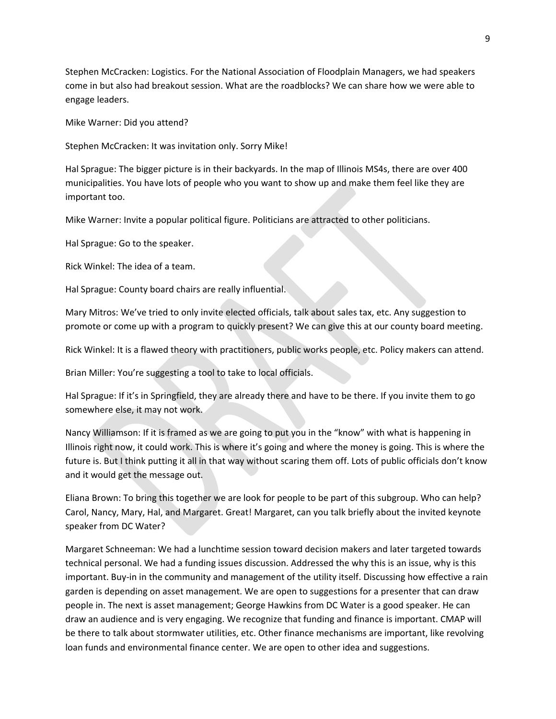Stephen McCracken: Logistics. For the National Association of Floodplain Managers, we had speakers come in but also had breakout session. What are the roadblocks? We can share how we were able to engage leaders.

Mike Warner: Did you attend?

Stephen McCracken: It was invitation only. Sorry Mike!

Hal Sprague: The bigger picture is in their backyards. In the map of Illinois MS4s, there are over 400 municipalities. You have lots of people who you want to show up and make them feel like they are important too.

Mike Warner: Invite a popular political figure. Politicians are attracted to other politicians.

Hal Sprague: Go to the speaker.

Rick Winkel: The idea of a team.

Hal Sprague: County board chairs are really influential.

Mary Mitros: We've tried to only invite elected officials, talk about sales tax, etc. Any suggestion to promote or come up with a program to quickly present? We can give this at our county board meeting.

Rick Winkel: It is a flawed theory with practitioners, public works people, etc. Policy makers can attend.

Brian Miller: You're suggesting a tool to take to local officials.

Hal Sprague: If it's in Springfield, they are already there and have to be there. If you invite them to go somewhere else, it may not work.

Nancy Williamson: If it is framed as we are going to put you in the "know" with what is happening in Illinois right now, it could work. This is where it's going and where the money is going. This is where the future is. But I think putting it all in that way without scaring them off. Lots of public officials don't know and it would get the message out.

Eliana Brown: To bring this together we are look for people to be part of this subgroup. Who can help? Carol, Nancy, Mary, Hal, and Margaret. Great! Margaret, can you talk briefly about the invited keynote speaker from DC Water?

Margaret Schneeman: We had a lunchtime session toward decision makers and later targeted towards technical personal. We had a funding issues discussion. Addressed the why this is an issue, why is this important. Buy‐in in the community and management of the utility itself. Discussing how effective a rain garden is depending on asset management. We are open to suggestions for a presenter that can draw people in. The next is asset management; George Hawkins from DC Water is a good speaker. He can draw an audience and is very engaging. We recognize that funding and finance is important. CMAP will be there to talk about stormwater utilities, etc. Other finance mechanisms are important, like revolving loan funds and environmental finance center. We are open to other idea and suggestions.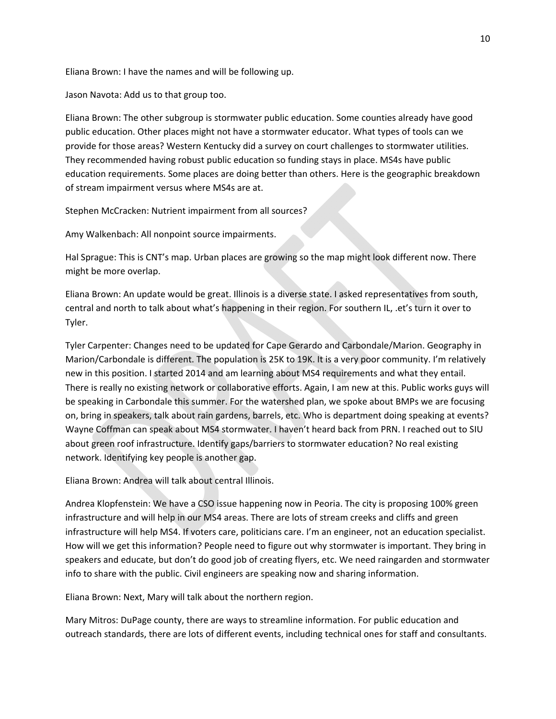Eliana Brown: I have the names and will be following up.

Jason Navota: Add us to that group too.

Eliana Brown: The other subgroup is stormwater public education. Some counties already have good public education. Other places might not have a stormwater educator. What types of tools can we provide for those areas? Western Kentucky did a survey on court challenges to stormwater utilities. They recommended having robust public education so funding stays in place. MS4s have public education requirements. Some places are doing better than others. Here is the geographic breakdown of stream impairment versus where MS4s are at.

Stephen McCracken: Nutrient impairment from all sources?

Amy Walkenbach: All nonpoint source impairments.

Hal Sprague: This is CNT's map. Urban places are growing so the map might look different now. There might be more overlap.

Eliana Brown: An update would be great. Illinois is a diverse state. I asked representatives from south, central and north to talk about what's happening in their region. For southern IL, .et's turn it over to Tyler.

Tyler Carpenter: Changes need to be updated for Cape Gerardo and Carbondale/Marion. Geography in Marion/Carbondale is different. The population is 25K to 19K. It is a very poor community. I'm relatively new in this position. I started 2014 and am learning about MS4 requirements and what they entail. There is really no existing network or collaborative efforts. Again, I am new at this. Public works guys will be speaking in Carbondale this summer. For the watershed plan, we spoke about BMPs we are focusing on, bring in speakers, talk about rain gardens, barrels, etc. Who is department doing speaking at events? Wayne Coffman can speak about MS4 stormwater. I haven't heard back from PRN. I reached out to SIU about green roof infrastructure. Identify gaps/barriers to stormwater education? No real existing network. Identifying key people is another gap.

Eliana Brown: Andrea will talk about central Illinois.

Andrea Klopfenstein: We have a CSO issue happening now in Peoria. The city is proposing 100% green infrastructure and will help in our MS4 areas. There are lots of stream creeks and cliffs and green infrastructure will help MS4. If voters care, politicians care. I'm an engineer, not an education specialist. How will we get this information? People need to figure out why stormwater is important. They bring in speakers and educate, but don't do good job of creating flyers, etc. We need raingarden and stormwater info to share with the public. Civil engineers are speaking now and sharing information.

Eliana Brown: Next, Mary will talk about the northern region.

Mary Mitros: DuPage county, there are ways to streamline information. For public education and outreach standards, there are lots of different events, including technical ones for staff and consultants.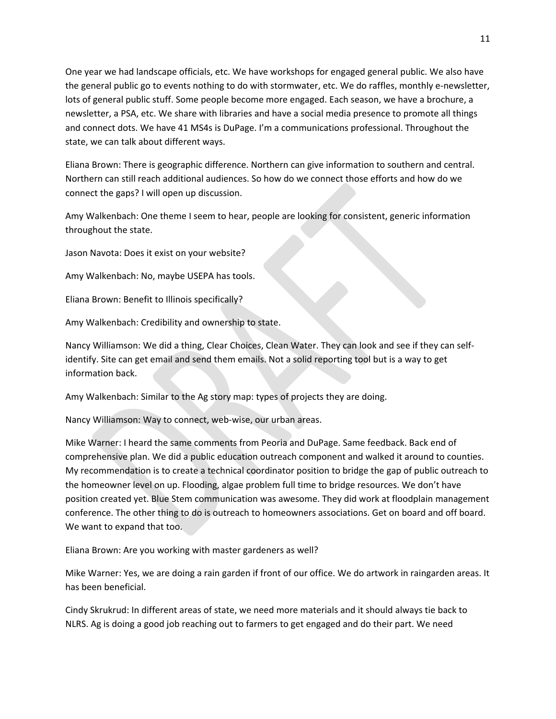One year we had landscape officials, etc. We have workshops for engaged general public. We also have the general public go to events nothing to do with stormwater, etc. We do raffles, monthly e-newsletter, lots of general public stuff. Some people become more engaged. Each season, we have a brochure, a newsletter, a PSA, etc. We share with libraries and have a social media presence to promote all things and connect dots. We have 41 MS4s is DuPage. I'm a communications professional. Throughout the state, we can talk about different ways.

Eliana Brown: There is geographic difference. Northern can give information to southern and central. Northern can still reach additional audiences. So how do we connect those efforts and how do we connect the gaps? I will open up discussion.

Amy Walkenbach: One theme I seem to hear, people are looking for consistent, generic information throughout the state.

Jason Navota: Does it exist on your website?

Amy Walkenbach: No, maybe USEPA has tools.

Eliana Brown: Benefit to Illinois specifically?

Amy Walkenbach: Credibility and ownership to state.

Nancy Williamson: We did a thing, Clear Choices, Clean Water. They can look and see if they can self‐ identify. Site can get email and send them emails. Not a solid reporting tool but is a way to get information back.

Amy Walkenbach: Similar to the Ag story map: types of projects they are doing.

Nancy Williamson: Way to connect, web‐wise, our urban areas.

Mike Warner: I heard the same comments from Peoria and DuPage. Same feedback. Back end of comprehensive plan. We did a public education outreach component and walked it around to counties. My recommendation is to create a technical coordinator position to bridge the gap of public outreach to the homeowner level on up. Flooding, algae problem full time to bridge resources. We don't have position created yet. Blue Stem communication was awesome. They did work at floodplain management conference. The other thing to do is outreach to homeowners associations. Get on board and off board. We want to expand that too.

Eliana Brown: Are you working with master gardeners as well?

Mike Warner: Yes, we are doing a rain garden if front of our office. We do artwork in raingarden areas. It has been beneficial.

Cindy Skrukrud: In different areas of state, we need more materials and it should always tie back to NLRS. Ag is doing a good job reaching out to farmers to get engaged and do their part. We need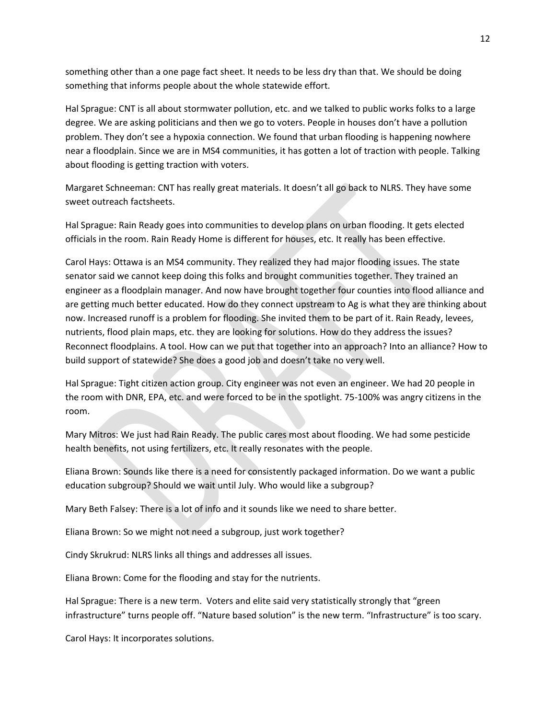something other than a one page fact sheet. It needs to be less dry than that. We should be doing something that informs people about the whole statewide effort.

Hal Sprague: CNT is all about stormwater pollution, etc. and we talked to public works folks to a large degree. We are asking politicians and then we go to voters. People in houses don't have a pollution problem. They don't see a hypoxia connection. We found that urban flooding is happening nowhere near a floodplain. Since we are in MS4 communities, it has gotten a lot of traction with people. Talking about flooding is getting traction with voters.

Margaret Schneeman: CNT has really great materials. It doesn't all go back to NLRS. They have some sweet outreach factsheets.

Hal Sprague: Rain Ready goes into communities to develop plans on urban flooding. It gets elected officials in the room. Rain Ready Home is different for houses, etc. It really has been effective.

Carol Hays: Ottawa is an MS4 community. They realized they had major flooding issues. The state senator said we cannot keep doing this folks and brought communities together. They trained an engineer as a floodplain manager. And now have brought together four counties into flood alliance and are getting much better educated. How do they connect upstream to Ag is what they are thinking about now. Increased runoff is a problem for flooding. She invited them to be part of it. Rain Ready, levees, nutrients, flood plain maps, etc. they are looking for solutions. How do they address the issues? Reconnect floodplains. A tool. How can we put that together into an approach? Into an alliance? How to build support of statewide? She does a good job and doesn't take no very well.

Hal Sprague: Tight citizen action group. City engineer was not even an engineer. We had 20 people in the room with DNR, EPA, etc. and were forced to be in the spotlight. 75‐100% was angry citizens in the room.

Mary Mitros: We just had Rain Ready. The public cares most about flooding. We had some pesticide health benefits, not using fertilizers, etc. It really resonates with the people.

Eliana Brown: Sounds like there is a need for consistently packaged information. Do we want a public education subgroup? Should we wait until July. Who would like a subgroup?

Mary Beth Falsey: There is a lot of info and it sounds like we need to share better.

Eliana Brown: So we might not need a subgroup, just work together?

Cindy Skrukrud: NLRS links all things and addresses all issues.

Eliana Brown: Come for the flooding and stay for the nutrients.

Hal Sprague: There is a new term. Voters and elite said very statistically strongly that "green infrastructure" turns people off. "Nature based solution" is the new term. "Infrastructure" is too scary.

Carol Hays: It incorporates solutions.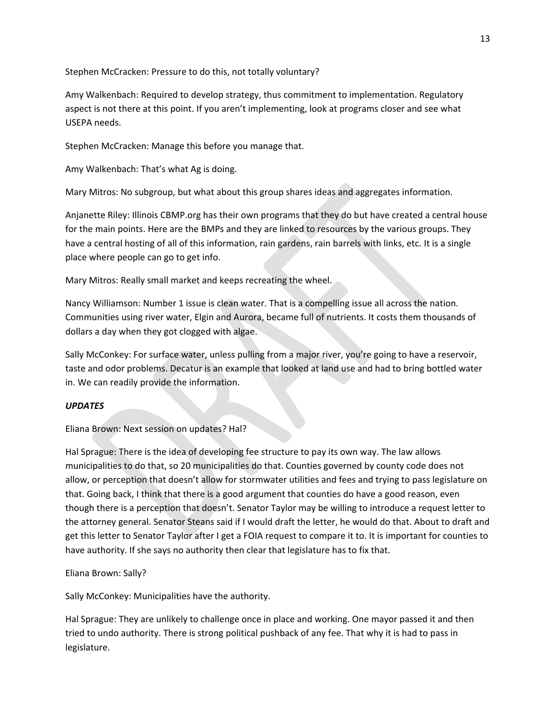Stephen McCracken: Pressure to do this, not totally voluntary?

Amy Walkenbach: Required to develop strategy, thus commitment to implementation. Regulatory aspect is not there at this point. If you aren't implementing, look at programs closer and see what USEPA needs.

Stephen McCracken: Manage this before you manage that.

Amy Walkenbach: That's what Ag is doing.

Mary Mitros: No subgroup, but what about this group shares ideas and aggregates information.

Anjanette Riley: Illinois CBMP.org has their own programs that they do but have created a central house for the main points. Here are the BMPs and they are linked to resources by the various groups. They have a central hosting of all of this information, rain gardens, rain barrels with links, etc. It is a single place where people can go to get info.

Mary Mitros: Really small market and keeps recreating the wheel.

Nancy Williamson: Number 1 issue is clean water. That is a compelling issue all across the nation. Communities using river water, Elgin and Aurora, became full of nutrients. It costs them thousands of dollars a day when they got clogged with algae.

Sally McConkey: For surface water, unless pulling from a major river, you're going to have a reservoir, taste and odor problems. Decatur is an example that looked at land use and had to bring bottled water in. We can readily provide the information.

#### *UPDATES*

Eliana Brown: Next session on updates? Hal?

Hal Sprague: There is the idea of developing fee structure to pay its own way. The law allows municipalities to do that, so 20 municipalities do that. Counties governed by county code does not allow, or perception that doesn't allow for stormwater utilities and fees and trying to pass legislature on that. Going back, I think that there is a good argument that counties do have a good reason, even though there is a perception that doesn't. Senator Taylor may be willing to introduce a request letter to the attorney general. Senator Steans said if I would draft the letter, he would do that. About to draft and get this letter to Senator Taylor after I get a FOIA request to compare it to. It is important for counties to have authority. If she says no authority then clear that legislature has to fix that.

Eliana Brown: Sally?

Sally McConkey: Municipalities have the authority.

Hal Sprague: They are unlikely to challenge once in place and working. One mayor passed it and then tried to undo authority. There is strong political pushback of any fee. That why it is had to pass in legislature.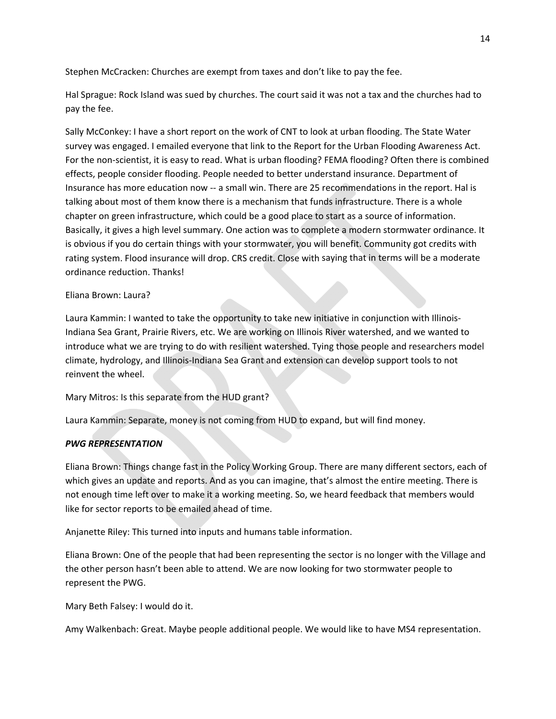Stephen McCracken: Churches are exempt from taxes and don't like to pay the fee.

Hal Sprague: Rock Island was sued by churches. The court said it was not a tax and the churches had to pay the fee.

Sally McConkey: I have a short report on the work of CNT to look at urban flooding. The State Water survey was engaged. I emailed everyone that link to the Report for the Urban Flooding Awareness Act. For the non-scientist, it is easy to read. What is urban flooding? FEMA flooding? Often there is combined effects, people consider flooding. People needed to better understand insurance. Department of Insurance has more education now ‐‐ a small win. There are 25 recommendations in the report. Hal is talking about most of them know there is a mechanism that funds infrastructure. There is a whole chapter on green infrastructure, which could be a good place to start as a source of information. Basically, it gives a high level summary. One action was to complete a modern stormwater ordinance. It is obvious if you do certain things with your stormwater, you will benefit. Community got credits with rating system. Flood insurance will drop. CRS credit. Close with saying that in terms will be a moderate ordinance reduction. Thanks!

#### Eliana Brown: Laura?

Laura Kammin: I wanted to take the opportunity to take new initiative in conjunction with Illinois‐ Indiana Sea Grant, Prairie Rivers, etc. We are working on Illinois River watershed, and we wanted to introduce what we are trying to do with resilient watershed. Tying those people and researchers model climate, hydrology, and Illinois‐Indiana Sea Grant and extension can develop support tools to not reinvent the wheel.

Mary Mitros: Is this separate from the HUD grant?

Laura Kammin: Separate, money is not coming from HUD to expand, but will find money.

#### *PWG REPRESENTATION*

Eliana Brown: Things change fast in the Policy Working Group. There are many different sectors, each of which gives an update and reports. And as you can imagine, that's almost the entire meeting. There is not enough time left over to make it a working meeting. So, we heard feedback that members would like for sector reports to be emailed ahead of time.

Anjanette Riley: This turned into inputs and humans table information.

Eliana Brown: One of the people that had been representing the sector is no longer with the Village and the other person hasn't been able to attend. We are now looking for two stormwater people to represent the PWG.

Mary Beth Falsey: I would do it.

Amy Walkenbach: Great. Maybe people additional people. We would like to have MS4 representation.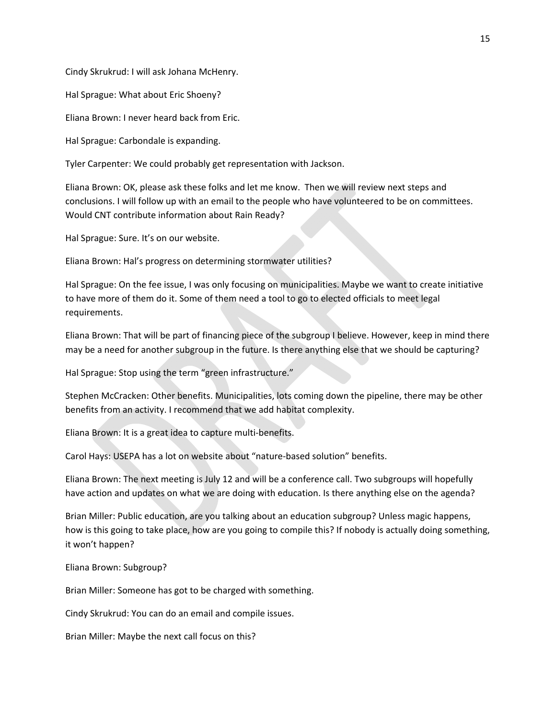Cindy Skrukrud: I will ask Johana McHenry.

Hal Sprague: What about Eric Shoeny?

Eliana Brown: I never heard back from Eric.

Hal Sprague: Carbondale is expanding.

Tyler Carpenter: We could probably get representation with Jackson.

Eliana Brown: OK, please ask these folks and let me know. Then we will review next steps and conclusions. I will follow up with an email to the people who have volunteered to be on committees. Would CNT contribute information about Rain Ready?

Hal Sprague: Sure. It's on our website.

Eliana Brown: Hal's progress on determining stormwater utilities?

Hal Sprague: On the fee issue, I was only focusing on municipalities. Maybe we want to create initiative to have more of them do it. Some of them need a tool to go to elected officials to meet legal requirements.

Eliana Brown: That will be part of financing piece of the subgroup I believe. However, keep in mind there may be a need for another subgroup in the future. Is there anything else that we should be capturing?

Hal Sprague: Stop using the term "green infrastructure."

Stephen McCracken: Other benefits. Municipalities, lots coming down the pipeline, there may be other benefits from an activity. I recommend that we add habitat complexity.

Eliana Brown: It is a great idea to capture multi‐benefits.

Carol Hays: USEPA has a lot on website about "nature‐based solution" benefits.

Eliana Brown: The next meeting is July 12 and will be a conference call. Two subgroups will hopefully have action and updates on what we are doing with education. Is there anything else on the agenda?

Brian Miller: Public education, are you talking about an education subgroup? Unless magic happens, how is this going to take place, how are you going to compile this? If nobody is actually doing something, it won't happen?

Eliana Brown: Subgroup?

Brian Miller: Someone has got to be charged with something.

Cindy Skrukrud: You can do an email and compile issues.

Brian Miller: Maybe the next call focus on this?